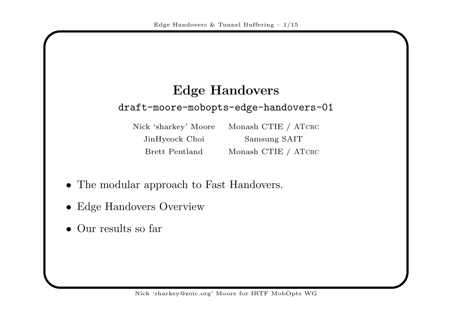# Edge Handoversdraft-moore-mobopts-edge-handovers-01

Nick 'sharkey' Moore JinHyeock Choi Samsung SAITBrett Pentland Monash CTIE / ATCRC

Monash CTIE / ATCRC

- The modular approac<sup>h</sup> to Fast Handovers.
- Edge Handovers Overview
- •Our results so far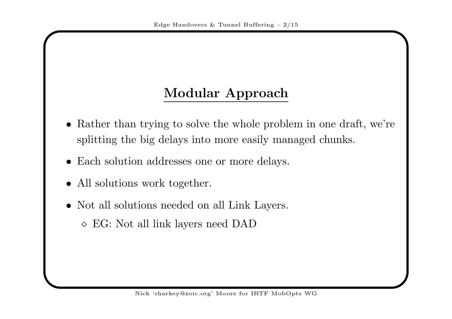#### Modular Approach

- Rather than trying to solve the whole problem in one draft, we're splitting the big delays into more easily managed chunks.
- Each solution addresses one or more delays.
- All solutions work together.
- Not all solutions needed on all Link Layers.
	- $\diamond$  EG: Not all link layers need DAD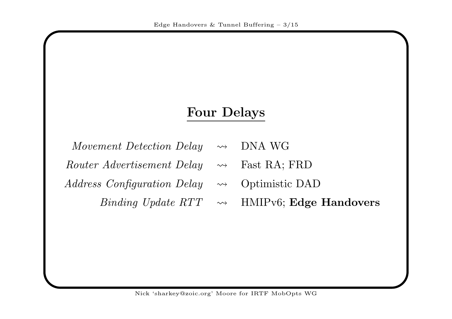#### Four Delays

| Movement Detection Delay $\rightsquigarrow$ DNA WG |  |
|----------------------------------------------------|--|
|                                                    |  |

- Router Advertisement Delay $\rightsquigarrow$ Fast RA; FRD
- $Address$  Configuration Delay  $\rightsquigarrow$ Optimistic DAD

 $\emph{Binding Update RTT } \quad \leadsto$ 

HMIPv6; Edge Handovers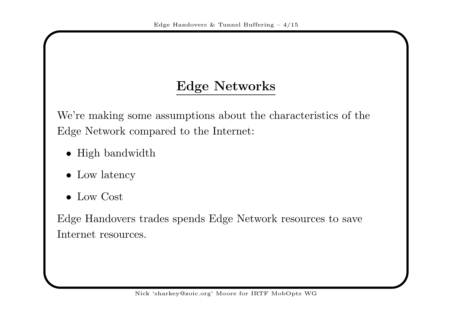# Edge Networks

We're making some assumptions about the characteristics of theEdge Network compared to the Internet:

- High bandwidth
- Low latency
- Low Cost

Edge Handovers trades spends Edge Network resources to saveInternet resources.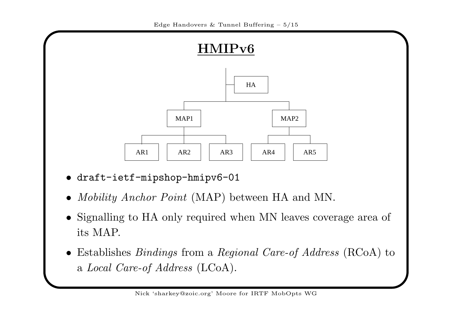

- draft-ietf-mipshop-hmipv6-01
- *Mobility Anchor Point* (MAP) between HA and MN.
- Signalling to HA only required when MN leaves coverage area <sup>o</sup> fits MAP.
- Establishes *Bindings* from a *Regional Care-of Address* (RCoA) to a *Local Care-of Address* (LCoA).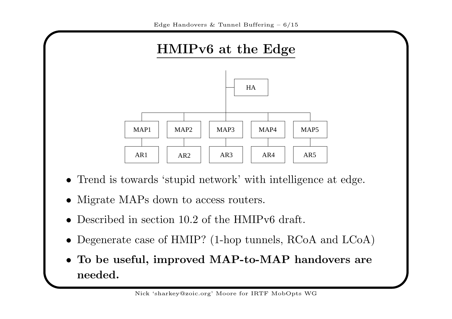

- Trend is towards 'stupid network' with intelligence at edge.
- Migrate MAPs down to access routers.
- •Described in section 10.2 of the HMIPv6 draft.
- Degenerate case of HMIP? (1-hop tunnels, RCoA and LCoA)
- To be useful, improved MAP-to-MAP handovers areneeded.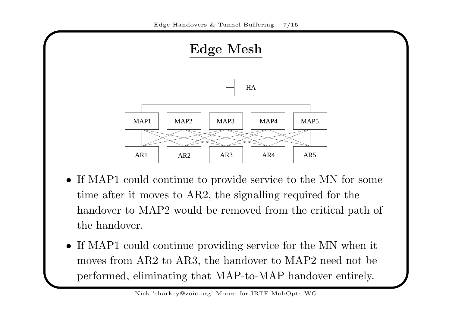

- If MAP1 could continue to provide service to the MN for some time after it moves to AR2, the signalling required for thehandover to MAP2 would be removed from the critical path of the handover.
- If MAP1 could continue providing service for the MN when it moves from AR2 to AR3, the handover to MAP2 need not beperformed, eliminating that MAP-to-MAP handover entirely.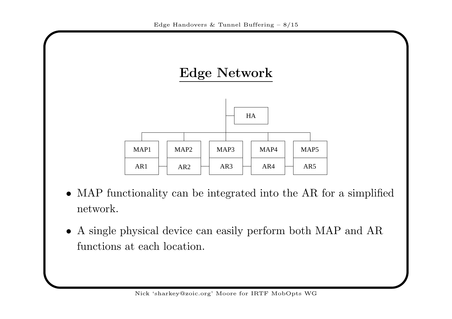

- MAP functionality can be integrated into the AR for <sup>a</sup> simplifiednetwork.
- <sup>A</sup> single <sup>p</sup>hysical device can easily perform both MAP and ARfunctions at each location.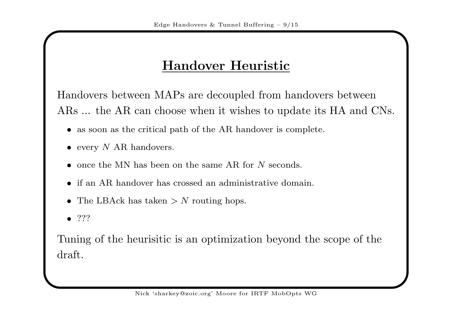### Handover Heuristic

Handovers between MAPs are decoupled from handovers betweenARs ... the AR can choose when it wishes to update its HA and CNs.

- as soon as the critical path of the AR handover is complete.
- every  $N$  AR handovers.
- once the MN has been on the same AR for N seconds.
- if an AR handover has crossed an administrative domain.
- The LBAck has taken  $> N$  routing hops.
- $\bullet$  ???

Tuning of the heurisitic is an optimization beyond the scope of the draft.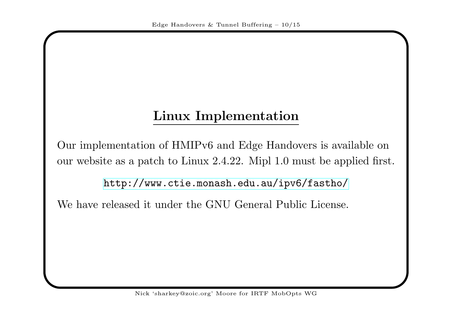# Linux Implementation

Our implementation of HMIPv6 and Edge Handovers is available onour website as <sup>a</sup> patch to Linux 2.4.22. Mipl 1.0 must be applied first.

<http://www.ctie.monash.edu.au/ipv6/fastho/>

We have released it under the GNU General Public License.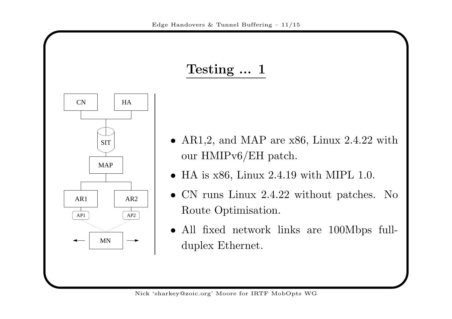

$$
Testing \; ... \; 1
$$

- AR1,2, and MAP are  $x86$ , Linux 2.4.22 with our HMIPv6/EH patch.
- HA is  $x86$ , Linux 2.4.19 with MIPL 1.0.
- CN runs Linux 2.4.22 without patches. No Route Optimisation.
- All fixed network links are 100Mbps fullduplex Ethernet.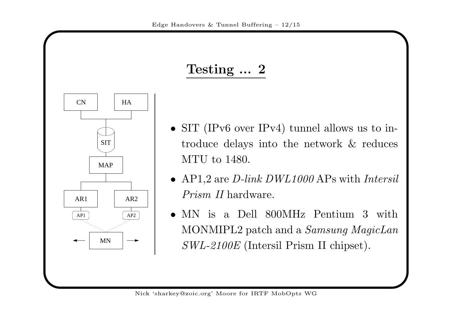

CN

AR1

AP1

HA

AR2

AP2

MAP

MN

SIT

- SIT (IPv6 over IPv4) tunnel allows us to introduce delays into the network & reducesMTU to 1480.
- AP1,2 are *D-link DWL1000* APs with *Intersil* Prism II hardware.
- MN is <sup>a</sup> Dell 800MHz Pentium <sup>3</sup> with $\rm{MONMIPL2}$  patch and a  $\it{Samsung~MagicLan}$  $SWL\text{-}2100E$  (Intersil Prism II chipset).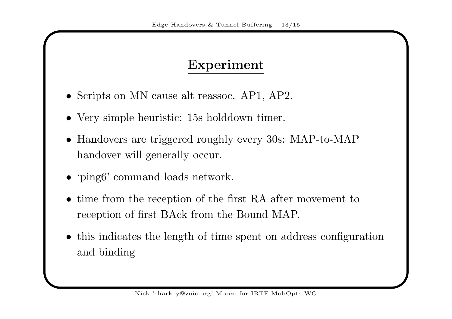#### Experiment

- Scripts on MN cause alt reassoc. AP1, AP2.
- Very simple heuristic: 15s holddown timer.
- • Handovers are triggered roughly every 30s: MAP-to-MAPhandover will generally occur.
- 'ping6' command loads network.
- time from the reception of the first RA after movement to reception of first BAck from the Bound MAP.
- this indicates the length of time spent on address configurationand binding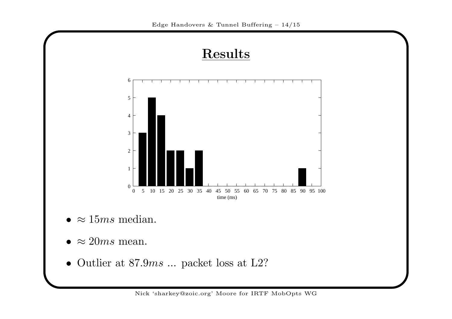

Nick 'sharkey@zoic.org' Moore for IRTF MobOpts WG